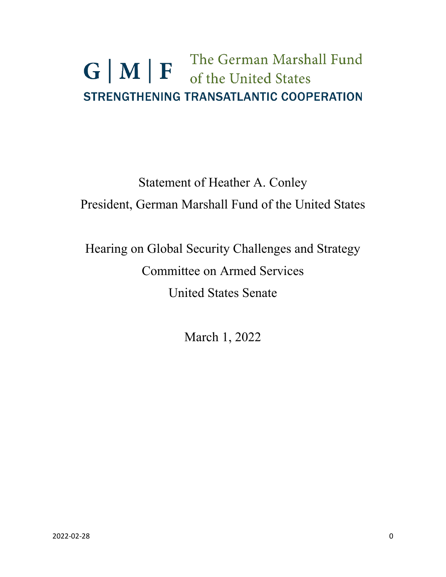### The German Marshall Fund  $G|M|F$ of the United States **STRENGTHENING TRANSATLANTIC COOPERATION**

## Statement of Heather A. Conley President, German Marshall Fund of the United States

# Hearing on Global Security Challenges and Strategy Committee on Armed Services United States Senate

March 1, 2022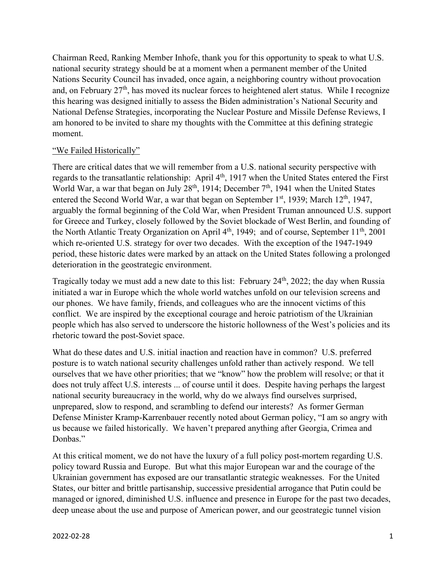Chairman Reed, Ranking Member Inhofe, thank you for this opportunity to speak to what U.S. national security strategy should be at a moment when a permanent member of the United Nations Security Council has invaded, once again, a neighboring country without provocation and, on February  $27<sup>th</sup>$ , has moved its nuclear forces to heightened alert status. While I recognize this hearing was designed initially to assess the Biden administration's National Security and National Defense Strategies, incorporating the Nuclear Posture and Missile Defense Reviews, I am honored to be invited to share my thoughts with the Committee at this defining strategic moment.

#### "We Failed Historically"

There are critical dates that we will remember from a U.S. national security perspective with regards to the transatlantic relationship: April 4<sup>th</sup>, 1917 when the United States entered the First World War, a war that began on July 28<sup>th</sup>, 1914; December  $7<sup>th</sup>$ , 1941 when the United States entered the Second World War, a war that began on September  $1<sup>st</sup>$ , 1939; March  $12<sup>th</sup>$ , 1947, arguably the formal beginning of the Cold War, when President Truman announced U.S. support for Greece and Turkey, closely followed by the Soviet blockade of West Berlin, and founding of the North Atlantic Treaty Organization on April  $4<sup>th</sup>$ , 1949; and of course, September  $11<sup>th</sup>$ , 2001 which re-oriented U.S. strategy for over two decades. With the exception of the 1947-1949 period, these historic dates were marked by an attack on the United States following a prolonged deterioration in the geostrategic environment.

Tragically today we must add a new date to this list: February  $24<sup>th</sup>$ ,  $2022$ ; the day when Russia initiated a war in Europe which the whole world watches unfold on our television screens and our phones. We have family, friends, and colleagues who are the innocent victims of this conflict. We are inspired by the exceptional courage and heroic patriotism of the Ukrainian people which has also served to underscore the historic hollowness of the West's policies and its rhetoric toward the post-Soviet space.

What do these dates and U.S. initial inaction and reaction have in common? U.S. preferred posture is to watch national security challenges unfold rather than actively respond. We tell ourselves that we have other priorities; that we "know" how the problem will resolve; or that it does not truly affect U.S. interests ... of course until it does. Despite having perhaps the largest national security bureaucracy in the world, why do we always find ourselves surprised, unprepared, slow to respond, and scrambling to defend our interests? As former German Defense Minister Kramp-Karrenbauer recently noted about German policy, "I am so angry with us because we failed historically. We haven't prepared anything after Georgia, Crimea and Donbas."

At this critical moment, we do not have the luxury of a full policy post-mortem regarding U.S. policy toward Russia and Europe. But what this major European war and the courage of the Ukrainian government has exposed are our transatlantic strategic weaknesses. For the United States, our bitter and brittle partisanship, successive presidential arrogance that Putin could be managed or ignored, diminished U.S. influence and presence in Europe for the past two decades, deep unease about the use and purpose of American power, and our geostrategic tunnel vision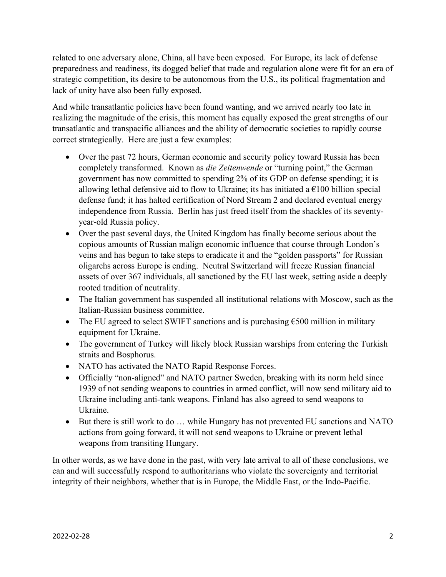related to one adversary alone, China, all have been exposed. For Europe, its lack of defense preparedness and readiness, its dogged belief that trade and regulation alone were fit for an era of strategic competition, its desire to be autonomous from the U.S., its political fragmentation and lack of unity have also been fully exposed.

And while transatlantic policies have been found wanting, and we arrived nearly too late in realizing the magnitude of the crisis, this moment has equally exposed the great strengths of our transatlantic and transpacific alliances and the ability of democratic societies to rapidly course correct strategically. Here are just a few examples:

- Over the past 72 hours, German economic and security policy toward Russia has been completely transformed. Known as *die Zeitenwende* or "turning point," the German government has now committed to spending 2% of its GDP on defense spending; it is allowing lethal defensive aid to flow to Ukraine; its has initiated a  $\epsilon$ 100 billion special defense fund; it has halted certification of Nord Stream 2 and declared eventual energy independence from Russia. Berlin has just freed itself from the shackles of its seventyyear-old Russia policy.
- Over the past several days, the United Kingdom has finally become serious about the copious amounts of Russian malign economic influence that course through London's veins and has begun to take steps to eradicate it and the "golden passports" for Russian oligarchs across Europe is ending. Neutral Switzerland will freeze Russian financial assets of over 367 individuals, all sanctioned by the EU last week, setting aside a deeply rooted tradition of neutrality.
- The Italian government has suspended all institutional relations with Moscow, such as the Italian-Russian business committee.
- The EU agreed to select SWIFT sanctions and is purchasing  $\epsilon$ 500 million in military equipment for Ukraine.
- The government of Turkey will likely block Russian warships from entering the Turkish straits and Bosphorus.
- NATO has activated the NATO Rapid Response Forces.
- Officially "non-aligned" and NATO partner Sweden, breaking with its norm held since 1939 of not sending weapons to countries in armed conflict, will now send military aid to Ukraine including anti-tank weapons. Finland has also agreed to send weapons to Ukraine.
- But there is still work to do ... while Hungary has not prevented EU sanctions and NATO actions from going forward, it will not send weapons to Ukraine or prevent lethal weapons from transiting Hungary.

In other words, as we have done in the past, with very late arrival to all of these conclusions, we can and will successfully respond to authoritarians who violate the sovereignty and territorial integrity of their neighbors, whether that is in Europe, the Middle East, or the Indo-Pacific.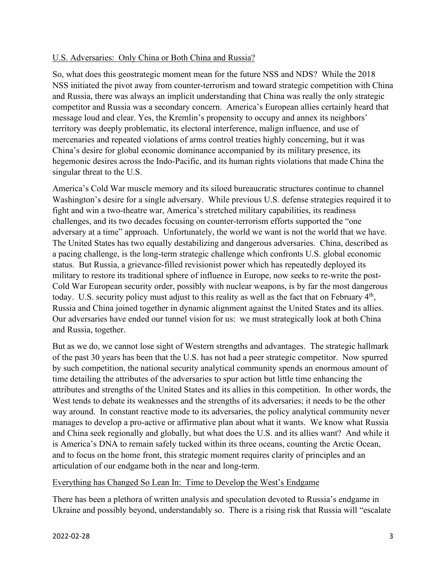#### U.S. Adversaries: Only China or Both China and Russia?

So, what does this geostrategic moment mean for the future NSS and NDS? While the 2018 NSS initiated the pivot away from counter-terrorism and toward strategic competition with China and Russia, there was always an implicit understanding that China was really the only strategic competitor and Russia was a secondary concern. America's European allies certainly heard that message loud and clear. Yes, the Kremlin's propensity to occupy and annex its neighbors' territory was deeply problematic, its electoral interference, malign influence, and use of mercenaries and repeated violations of arms control treaties highly concerning, but it was China's desire for global economic dominance accompanied by its military presence, its hegemonic desires across the Indo-Pacific, and its human rights violations that made China the singular threat to the U.S.

America's Cold War muscle memory and its siloed bureaucratic structures continue to channel Washington's desire for a single adversary. While previous U.S. defense strategies required it to fight and win a two-theatre war, America's stretched military capabilities, its readiness challenges, and its two decades focusing on counter-terrorism efforts supported the "one adversary at a time" approach. Unfortunately, the world we want is not the world that we have. The United States has two equally destabilizing and dangerous adversaries. China, described as a pacing challenge, is the long-term strategic challenge which confronts U.S. global economic status. But Russia, a grievance-filled revisionist power which has repeatedly deployed its military to restore its traditional sphere of influence in Europe, now seeks to re-write the post-Cold War European security order, possibly with nuclear weapons, is by far the most dangerous today. U.S. security policy must adjust to this reality as well as the fact that on February  $4<sup>th</sup>$ , Russia and China joined together in dynamic alignment against the United States and its allies. Our adversaries have ended our tunnel vision for us: we must strategically look at both China and Russia, together.

But as we do, we cannot lose sight of Western strengths and advantages. The strategic hallmark of the past 30 years has been that the U.S. has not had a peer strategic competitor. Now spurred by such competition, the national security analytical community spends an enormous amount of time detailing the attributes of the adversaries to spur action but little time enhancing the attributes and strengths of the United States and its allies in this competition. In other words, the West tends to debate its weaknesses and the strengths of its adversaries; it needs to be the other way around. In constant reactive mode to its adversaries, the policy analytical community never manages to develop a pro-active or affirmative plan about what it wants. We know what Russia and China seek regionally and globally, but what does the U.S. and its allies want? And while it is America's DNA to remain safely tucked within its three oceans, counting the Arctic Ocean, and to focus on the home front, this strategic moment requires clarity of principles and an articulation of our endgame both in the near and long-term.

#### Everything has Changed So Lean In: Time to Develop the West's Endgame

There has been a plethora of written analysis and speculation devoted to Russia's endgame in Ukraine and possibly beyond, understandably so. There is a rising risk that Russia will "escalate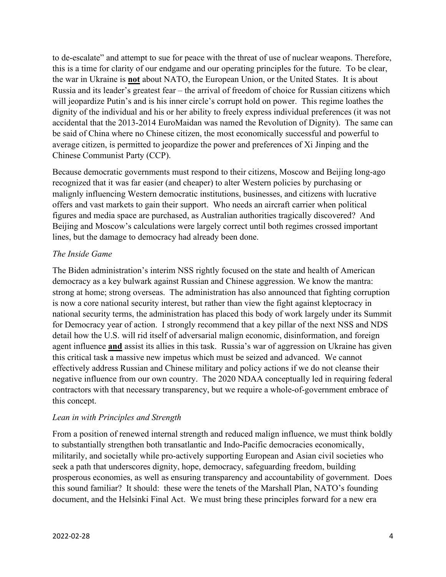to de-escalate" and attempt to sue for peace with the threat of use of nuclear weapons. Therefore, this is a time for clarity of our endgame and our operating principles for the future. To be clear, the war in Ukraine is **not** about NATO, the European Union, or the United States. It is about Russia and its leader's greatest fear – the arrival of freedom of choice for Russian citizens which will jeopardize Putin's and is his inner circle's corrupt hold on power. This regime loathes the dignity of the individual and his or her ability to freely express individual preferences (it was not accidental that the 2013-2014 EuroMaidan was named the Revolution of Dignity). The same can be said of China where no Chinese citizen, the most economically successful and powerful to average citizen, is permitted to jeopardize the power and preferences of Xi Jinping and the Chinese Communist Party (CCP).

Because democratic governments must respond to their citizens, Moscow and Beijing long-ago recognized that it was far easier (and cheaper) to alter Western policies by purchasing or malignly influencing Western democratic institutions, businesses, and citizens with lucrative offers and vast markets to gain their support. Who needs an aircraft carrier when political figures and media space are purchased, as Australian authorities tragically discovered? And Beijing and Moscow's calculations were largely correct until both regimes crossed important lines, but the damage to democracy had already been done.

#### *The Inside Game*

The Biden administration's interim NSS rightly focused on the state and health of American democracy as a key bulwark against Russian and Chinese aggression. We know the mantra: strong at home; strong overseas. The administration has also announced that fighting corruption is now a core national security interest, but rather than view the fight against kleptocracy in national security terms, the administration has placed this body of work largely under its Summit for Democracy year of action. I strongly recommend that a key pillar of the next NSS and NDS detail how the U.S. will rid itself of adversarial malign economic, disinformation, and foreign agent influence **and** assist its allies in this task. Russia's war of aggression on Ukraine has given this critical task a massive new impetus which must be seized and advanced. We cannot effectively address Russian and Chinese military and policy actions if we do not cleanse their negative influence from our own country. The 2020 NDAA conceptually led in requiring federal contractors with that necessary transparency, but we require a whole-of-government embrace of this concept.

#### *Lean in with Principles and Strength*

From a position of renewed internal strength and reduced malign influence, we must think boldly to substantially strengthen both transatlantic and Indo-Pacific democracies economically, militarily, and societally while pro-actively supporting European and Asian civil societies who seek a path that underscores dignity, hope, democracy, safeguarding freedom, building prosperous economies, as well as ensuring transparency and accountability of government. Does this sound familiar? It should: these were the tenets of the Marshall Plan, NATO's founding document, and the Helsinki Final Act. We must bring these principles forward for a new era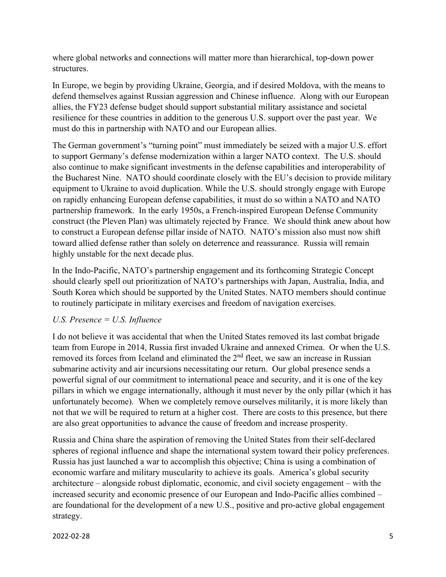where global networks and connections will matter more than hierarchical, top-down power structures.

In Europe, we begin by providing Ukraine, Georgia, and if desired Moldova, with the means to defend themselves against Russian aggression and Chinese influence. Along with our European allies, the FY23 defense budget should support substantial military assistance and societal resilience for these countries in addition to the generous U.S. support over the past year. We must do this in partnership with NATO and our European allies.

The German government's "turning point" must immediately be seized with a major U.S. effort to support Germany's defense modernization within a larger NATO context. The U.S. should also continue to make significant investments in the defense capabilities and interoperability of the Bucharest Nine. NATO should coordinate closely with the EU's decision to provide military equipment to Ukraine to avoid duplication. While the U.S. should strongly engage with Europe on rapidly enhancing European defense capabilities, it must do so within a NATO and NATO partnership framework. In the early 1950s, a French-inspired European Defense Community construct (the Pleven Plan) was ultimately rejected by France. We should think anew about how to construct a European defense pillar inside of NATO. NATO's mission also must now shift toward allied defense rather than solely on deterrence and reassurance. Russia will remain highly unstable for the next decade plus.

In the Indo-Pacific, NATO's partnership engagement and its forthcoming Strategic Concept should clearly spell out prioritization of NATO's partnerships with Japan, Australia, India, and South Korea which should be supported by the United States. NATO members should continue to routinely participate in military exercises and freedom of navigation exercises.

#### *U.S. Presence = U.S. Influence*

I do not believe it was accidental that when the United States removed its last combat brigade team from Europe in 2014, Russia first invaded Ukraine and annexed Crimea. Or when the U.S. removed its forces from Iceland and eliminated the 2<sup>nd</sup> fleet, we saw an increase in Russian submarine activity and air incursions necessitating our return. Our global presence sends a powerful signal of our commitment to international peace and security, and it is one of the key pillars in which we engage internationally, although it must never by the only pillar (which it has unfortunately become). When we completely remove ourselves militarily, it is more likely than not that we will be required to return at a higher cost. There are costs to this presence, but there are also great opportunities to advance the cause of freedom and increase prosperity.

Russia and China share the aspiration of removing the United States from their self-declared spheres of regional influence and shape the international system toward their policy preferences. Russia has just launched a war to accomplish this objective; China is using a combination of economic warfare and military muscularity to achieve its goals. America's global security architecture – alongside robust diplomatic, economic, and civil society engagement – with the increased security and economic presence of our European and Indo-Pacific allies combined – are foundational for the development of a new U.S., positive and pro-active global engagement strategy.